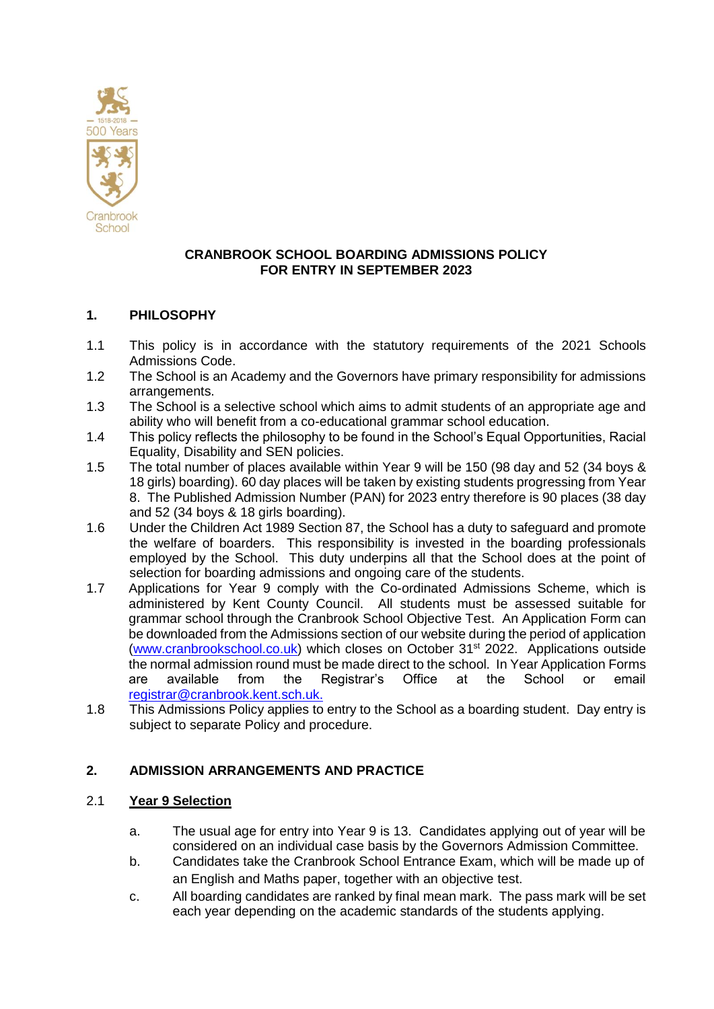

## **CRANBROOK SCHOOL BOARDING ADMISSIONS POLICY FOR ENTRY IN SEPTEMBER 2023**

# **1. PHILOSOPHY**

- 1.1 This policy is in accordance with the statutory requirements of the 2021 Schools Admissions Code.
- 1.2 The School is an Academy and the Governors have primary responsibility for admissions arrangements.
- 1.3 The School is a selective school which aims to admit students of an appropriate age and ability who will benefit from a co-educational grammar school education.
- 1.4 This policy reflects the philosophy to be found in the School's Equal Opportunities, Racial Equality, Disability and SEN policies.
- 1.5 The total number of places available within Year 9 will be 150 (98 day and 52 (34 boys & 18 girls) boarding). 60 day places will be taken by existing students progressing from Year 8. The Published Admission Number (PAN) for 2023 entry therefore is 90 places (38 day and 52 (34 boys & 18 girls boarding).
- 1.6 Under the Children Act 1989 Section 87, the School has a duty to safeguard and promote the welfare of boarders. This responsibility is invested in the boarding professionals employed by the School. This duty underpins all that the School does at the point of selection for boarding admissions and ongoing care of the students.
- 1.7 Applications for Year 9 comply with the Co-ordinated Admissions Scheme, which is administered by Kent County Council. All students must be assessed suitable for grammar school through the Cranbrook School Objective Test. An Application Form can be downloaded from the Admissions section of our website during the period of application [\(www.cranbrookschool.co.uk\)](http://www.cranbrookschool.co.uk/) which closes on October 31st 2022. Applications outside the normal admission round must be made direct to the school. In Year Application Forms are available from the Registrar's Office at the School or email [registrar@cranbrook.kent.sch.uk.](mailto:registrar@cranbrook.kent.sch.uk)
- 1.8 This Admissions Policy applies to entry to the School as a boarding student. Day entry is subject to separate Policy and procedure.

# **2. ADMISSION ARRANGEMENTS AND PRACTICE**

## 2.1 **Year 9 Selection**

- a. The usual age for entry into Year 9 is 13. Candidates applying out of year will be considered on an individual case basis by the Governors Admission Committee.
- b. Candidates take the Cranbrook School Entrance Exam, which will be made up of an English and Maths paper, together with an objective test.
- c. All boarding candidates are ranked by final mean mark. The pass mark will be set each year depending on the academic standards of the students applying.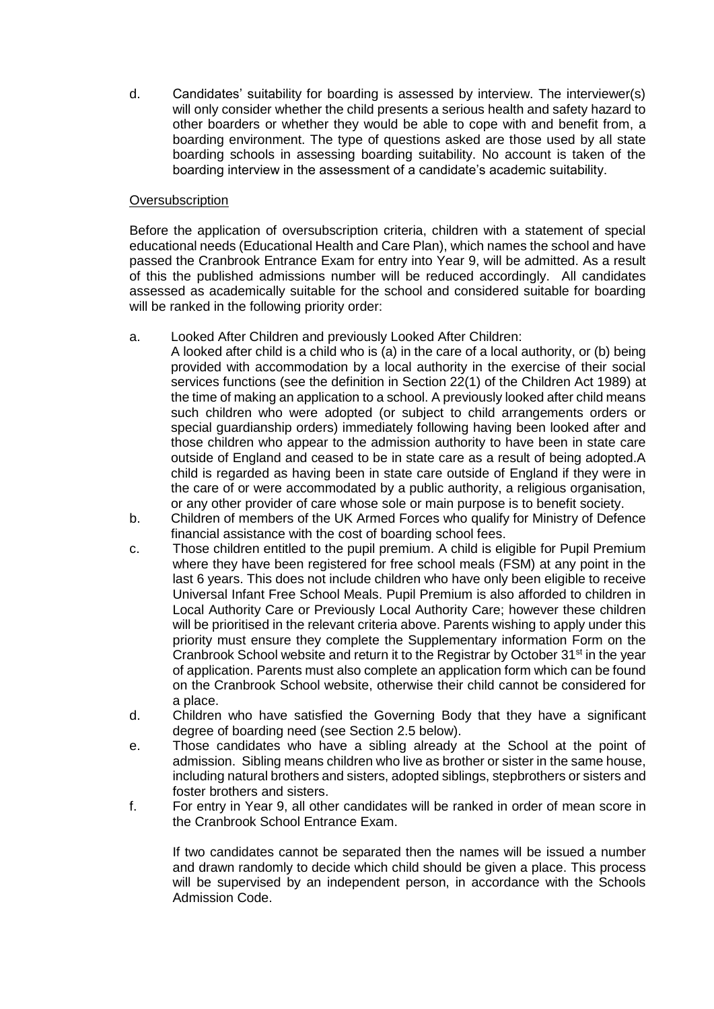d. Candidates' suitability for boarding is assessed by interview. The interviewer(s) will only consider whether the child presents a serious health and safety hazard to other boarders or whether they would be able to cope with and benefit from, a boarding environment. The type of questions asked are those used by all state boarding schools in assessing boarding suitability. No account is taken of the boarding interview in the assessment of a candidate's academic suitability.

## **Oversubscription**

Before the application of oversubscription criteria, children with a statement of special educational needs (Educational Health and Care Plan), which names the school and have passed the Cranbrook Entrance Exam for entry into Year 9, will be admitted. As a result of this the published admissions number will be reduced accordingly. All candidates assessed as academically suitable for the school and considered suitable for boarding will be ranked in the following priority order:

- a. Looked After Children and previously Looked After Children:
	- A looked after child is a child who is (a) in the care of a local authority, or (b) being provided with accommodation by a local authority in the exercise of their social services functions (see the definition in Section 22(1) of the Children Act 1989) at the time of making an application to a school. A previously looked after child means such children who were adopted (or subject to child arrangements orders or special guardianship orders) immediately following having been looked after and those children who appear to the admission authority to have been in state care outside of England and ceased to be in state care as a result of being adopted.A child is regarded as having been in state care outside of England if they were in the care of or were accommodated by a public authority, a religious organisation, or any other provider of care whose sole or main purpose is to benefit society.
- b. Children of members of the UK Armed Forces who qualify for Ministry of Defence financial assistance with the cost of boarding school fees.
- c. Those children entitled to the pupil premium. A child is eligible for Pupil Premium where they have been registered for free school meals (FSM) at any point in the last 6 years. This does not include children who have only been eligible to receive Universal Infant Free School Meals. Pupil Premium is also afforded to children in Local Authority Care or Previously Local Authority Care; however these children will be prioritised in the relevant criteria above. Parents wishing to apply under this priority must ensure they complete the Supplementary information Form on the Cranbrook School website and return it to the Registrar by October  $31<sup>st</sup>$  in the year of application. Parents must also complete an application form which can be found on the Cranbrook School website, otherwise their child cannot be considered for a place.
- d. Children who have satisfied the Governing Body that they have a significant degree of boarding need (see Section 2.5 below).
- e. Those candidates who have a sibling already at the School at the point of admission. Sibling means children who live as brother or sister in the same house, including natural brothers and sisters, adopted siblings, stepbrothers or sisters and foster brothers and sisters.
- f. For entry in Year 9, all other candidates will be ranked in order of mean score in the Cranbrook School Entrance Exam.

If two candidates cannot be separated then the names will be issued a number and drawn randomly to decide which child should be given a place. This process will be supervised by an independent person, in accordance with the Schools Admission Code.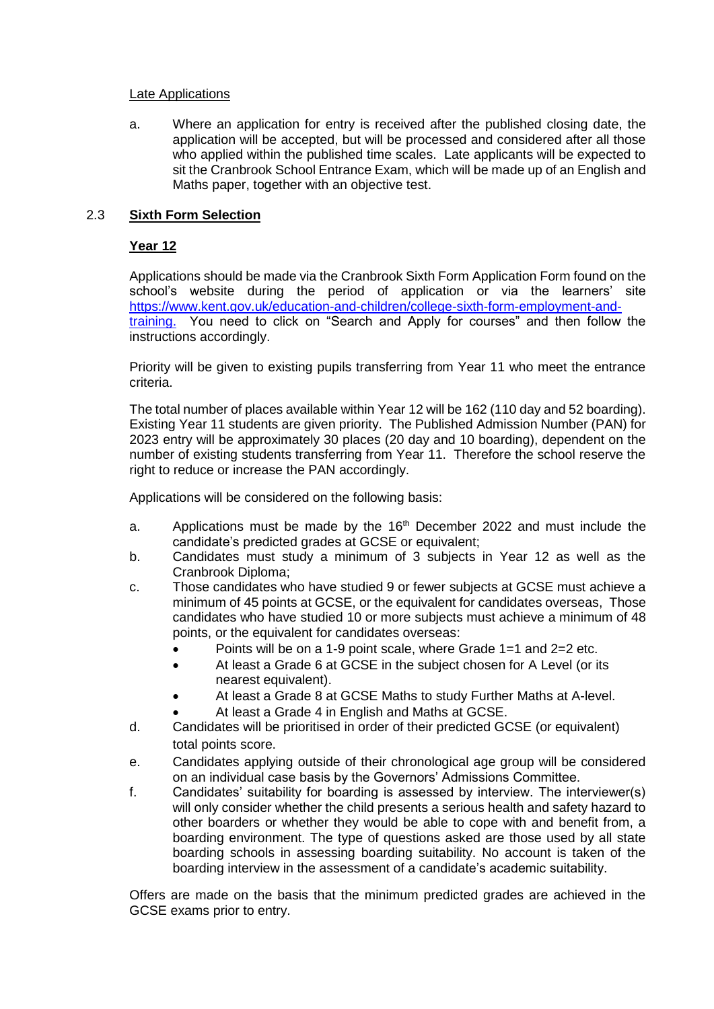#### Late Applications

a. Where an application for entry is received after the published closing date, the application will be accepted, but will be processed and considered after all those who applied within the published time scales. Late applicants will be expected to sit the Cranbrook School Entrance Exam, which will be made up of an English and Maths paper, together with an objective test.

## 2.3 **Sixth Form Selection**

## **Year 12**

Applications should be made via the Cranbrook Sixth Form Application Form found on the school's website during the period of application or via the learners' site https://www.kent.gov.uk/education-and-children/college-sixth-form-employment-andtraining. You need to click on "Search and Apply for courses" and then follow the instructions accordingly.

Priority will be given to existing pupils transferring from Year 11 who meet the entrance criteria.

The total number of places available within Year 12 will be 162 (110 day and 52 boarding). Existing Year 11 students are given priority. The Published Admission Number (PAN) for 2023 entry will be approximately 30 places (20 day and 10 boarding), dependent on the number of existing students transferring from Year 11. Therefore the school reserve the right to reduce or increase the PAN accordingly.

Applications will be considered on the following basis:

- a. Applications must be made by the  $16<sup>th</sup>$  December 2022 and must include the candidate's predicted grades at GCSE or equivalent;
- b. Candidates must study a minimum of 3 subjects in Year 12 as well as the Cranbrook Diploma;
- c. Those candidates who have studied 9 or fewer subjects at GCSE must achieve a minimum of 45 points at GCSE, or the equivalent for candidates overseas, Those candidates who have studied 10 or more subjects must achieve a minimum of 48 points, or the equivalent for candidates overseas:
	- Points will be on a 1-9 point scale, where Grade 1=1 and 2=2 etc.
	- At least a Grade 6 at GCSE in the subject chosen for A Level (or its nearest equivalent).
	- At least a Grade 8 at GCSE Maths to study Further Maths at A-level.
	- At least a Grade 4 in English and Maths at GCSE.
- d. Candidates will be prioritised in order of their predicted GCSE (or equivalent) total points score.
- e. Candidates applying outside of their chronological age group will be considered on an individual case basis by the Governors' Admissions Committee.
- f. Candidates' suitability for boarding is assessed by interview. The interviewer(s) will only consider whether the child presents a serious health and safety hazard to other boarders or whether they would be able to cope with and benefit from, a boarding environment. The type of questions asked are those used by all state boarding schools in assessing boarding suitability. No account is taken of the boarding interview in the assessment of a candidate's academic suitability.

Offers are made on the basis that the minimum predicted grades are achieved in the GCSE exams prior to entry.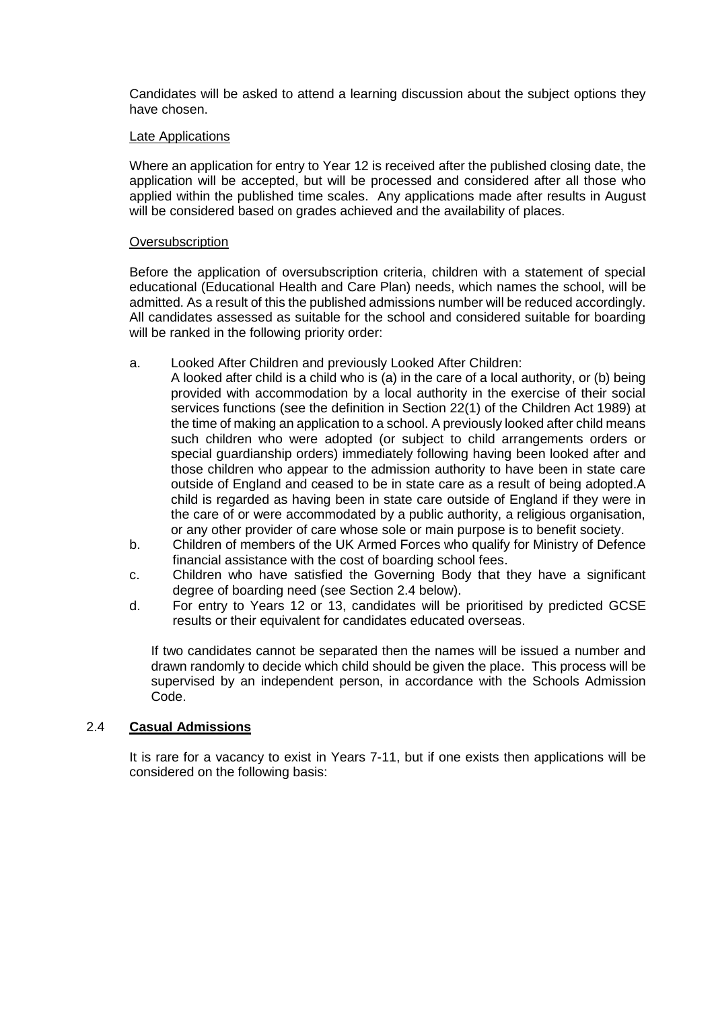Candidates will be asked to attend a learning discussion about the subject options they have chosen.

#### Late Applications

Where an application for entry to Year 12 is received after the published closing date, the application will be accepted, but will be processed and considered after all those who applied within the published time scales. Any applications made after results in August will be considered based on grades achieved and the availability of places.

#### **Oversubscription**

Before the application of oversubscription criteria, children with a statement of special educational (Educational Health and Care Plan) needs, which names the school, will be admitted. As a result of this the published admissions number will be reduced accordingly. All candidates assessed as suitable for the school and considered suitable for boarding will be ranked in the following priority order:

- a. Looked After Children and previously Looked After Children:
- A looked after child is a child who is (a) in the care of a local authority, or (b) being provided with accommodation by a local authority in the exercise of their social services functions (see the definition in Section 22(1) of the Children Act 1989) at the time of making an application to a school. A previously looked after child means such children who were adopted (or subject to child arrangements orders or special guardianship orders) immediately following having been looked after and those children who appear to the admission authority to have been in state care outside of England and ceased to be in state care as a result of being adopted.A child is regarded as having been in state care outside of England if they were in the care of or were accommodated by a public authority, a religious organisation, or any other provider of care whose sole or main purpose is to benefit society.
- b. Children of members of the UK Armed Forces who qualify for Ministry of Defence financial assistance with the cost of boarding school fees.
- c. Children who have satisfied the Governing Body that they have a significant degree of boarding need (see Section 2.4 below).
- d. For entry to Years 12 or 13, candidates will be prioritised by predicted GCSE results or their equivalent for candidates educated overseas.

If two candidates cannot be separated then the names will be issued a number and drawn randomly to decide which child should be given the place. This process will be supervised by an independent person, in accordance with the Schools Admission Code.

#### 2.4 **Casual Admissions**

It is rare for a vacancy to exist in Years 7-11, but if one exists then applications will be considered on the following basis: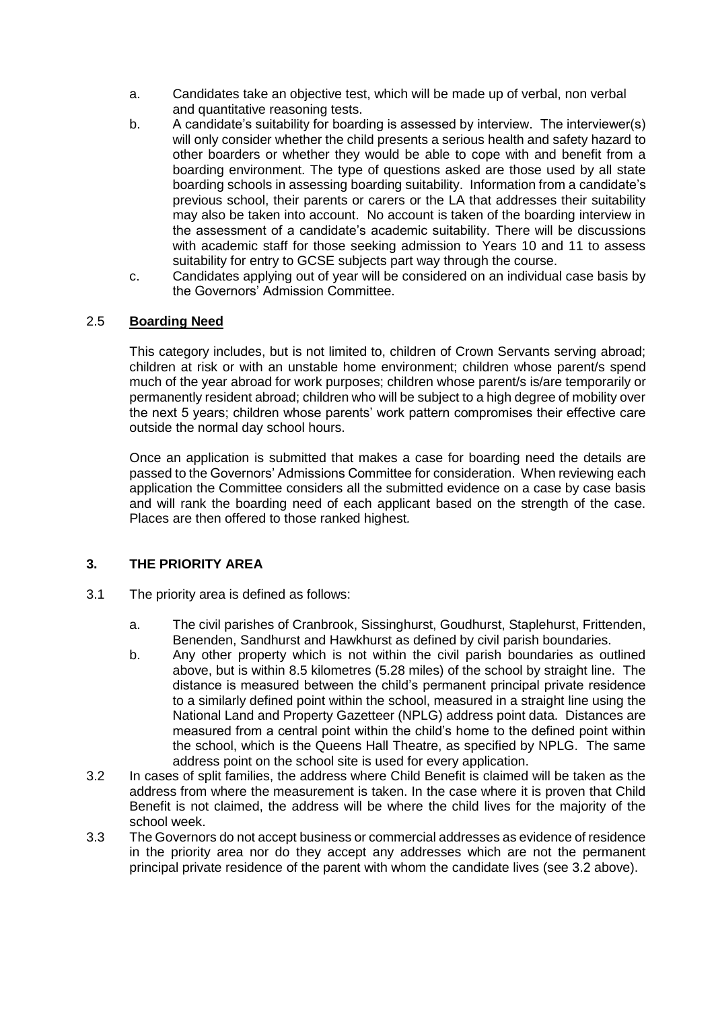- a. Candidates take an objective test, which will be made up of verbal, non verbal and quantitative reasoning tests.
- b. A candidate's suitability for boarding is assessed by interview. The interviewer(s) will only consider whether the child presents a serious health and safety hazard to other boarders or whether they would be able to cope with and benefit from a boarding environment. The type of questions asked are those used by all state boarding schools in assessing boarding suitability. Information from a candidate's previous school, their parents or carers or the LA that addresses their suitability may also be taken into account. No account is taken of the boarding interview in the assessment of a candidate's academic suitability. There will be discussions with academic staff for those seeking admission to Years 10 and 11 to assess suitability for entry to GCSE subjects part way through the course.
- c. Candidates applying out of year will be considered on an individual case basis by the Governors' Admission Committee.

## 2.5 **Boarding Need**

This category includes, but is not limited to, children of Crown Servants serving abroad; children at risk or with an unstable home environment; children whose parent/s spend much of the year abroad for work purposes; children whose parent/s is/are temporarily or permanently resident abroad; children who will be subject to a high degree of mobility over the next 5 years; children whose parents' work pattern compromises their effective care outside the normal day school hours.

Once an application is submitted that makes a case for boarding need the details are passed to the Governors' Admissions Committee for consideration. When reviewing each application the Committee considers all the submitted evidence on a case by case basis and will rank the boarding need of each applicant based on the strength of the case. Places are then offered to those ranked highest*.*

## **3. THE PRIORITY AREA**

- 3.1 The priority area is defined as follows:
	- a. The civil parishes of Cranbrook, Sissinghurst, Goudhurst, Staplehurst, Frittenden, Benenden, Sandhurst and Hawkhurst as defined by civil parish boundaries.
	- b. Any other property which is not within the civil parish boundaries as outlined above, but is within 8.5 kilometres (5.28 miles) of the school by straight line. The distance is measured between the child's permanent principal private residence to a similarly defined point within the school, measured in a straight line using the National Land and Property Gazetteer (NPLG) address point data. Distances are measured from a central point within the child's home to the defined point within the school, which is the Queens Hall Theatre, as specified by NPLG. The same address point on the school site is used for every application.
- 3.2 In cases of split families, the address where Child Benefit is claimed will be taken as the address from where the measurement is taken. In the case where it is proven that Child Benefit is not claimed, the address will be where the child lives for the majority of the school week.
- 3.3 The Governors do not accept business or commercial addresses as evidence of residence in the priority area nor do they accept any addresses which are not the permanent principal private residence of the parent with whom the candidate lives (see 3.2 above).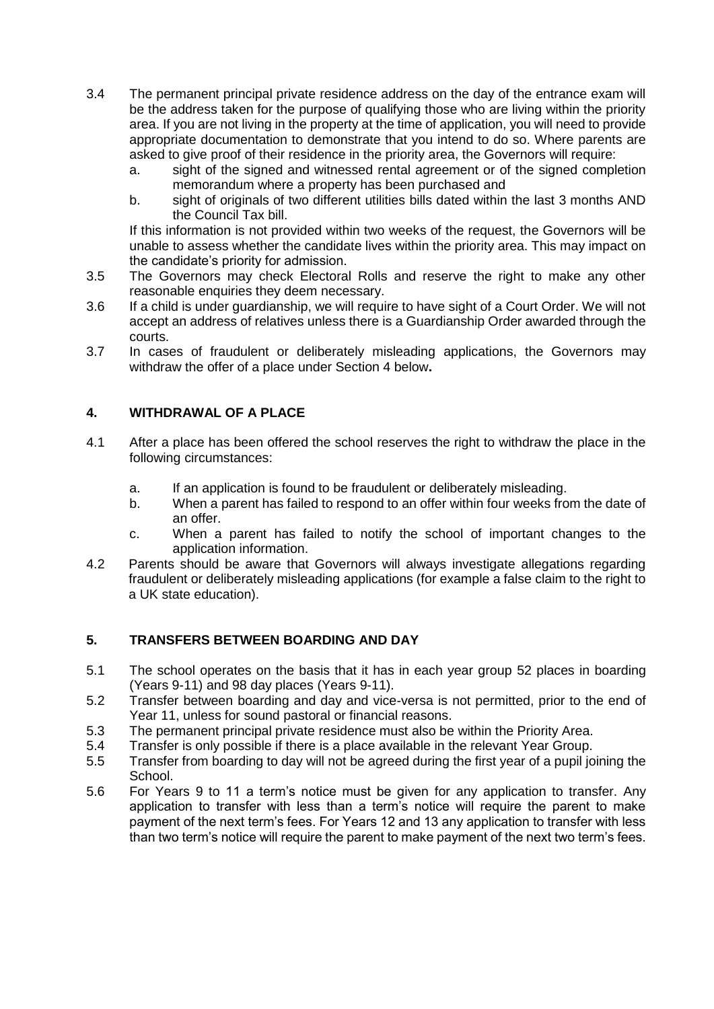- 3.4 The permanent principal private residence address on the day of the entrance exam will be the address taken for the purpose of qualifying those who are living within the priority area. If you are not living in the property at the time of application, you will need to provide appropriate documentation to demonstrate that you intend to do so. Where parents are asked to give proof of their residence in the priority area, the Governors will require:
	- a. sight of the signed and witnessed rental agreement or of the signed completion memorandum where a property has been purchased and
	- b. sight of originals of two different utilities bills dated within the last 3 months AND the Council Tax bill.

If this information is not provided within two weeks of the request, the Governors will be unable to assess whether the candidate lives within the priority area. This may impact on the candidate's priority for admission.

- 3.5 The Governors may check Electoral Rolls and reserve the right to make any other reasonable enquiries they deem necessary.
- 3.6 If a child is under guardianship, we will require to have sight of a Court Order. We will not accept an address of relatives unless there is a Guardianship Order awarded through the courts.
- 3.7 In cases of fraudulent or deliberately misleading applications, the Governors may withdraw the offer of a place under Section 4 below**.**

# **4. WITHDRAWAL OF A PLACE**

- 4.1 After a place has been offered the school reserves the right to withdraw the place in the following circumstances:
	- a. If an application is found to be fraudulent or deliberately misleading.
	- b. When a parent has failed to respond to an offer within four weeks from the date of an offer.
	- c. When a parent has failed to notify the school of important changes to the application information.
- 4.2 Parents should be aware that Governors will always investigate allegations regarding fraudulent or deliberately misleading applications (for example a false claim to the right to a UK state education).

## **5. TRANSFERS BETWEEN BOARDING AND DAY**

- 5.1 The school operates on the basis that it has in each year group 52 places in boarding (Years 9-11) and 98 day places (Years 9-11).
- 5.2 Transfer between boarding and day and vice-versa is not permitted, prior to the end of Year 11, unless for sound pastoral or financial reasons.
- 5.3 The permanent principal private residence must also be within the Priority Area.
- 5.4 Transfer is only possible if there is a place available in the relevant Year Group.
- 5.5 Transfer from boarding to day will not be agreed during the first year of a pupil joining the School.
- 5.6 For Years 9 to 11 a term's notice must be given for any application to transfer. Any application to transfer with less than a term's notice will require the parent to make payment of the next term's fees. For Years 12 and 13 any application to transfer with less than two term's notice will require the parent to make payment of the next two term's fees.